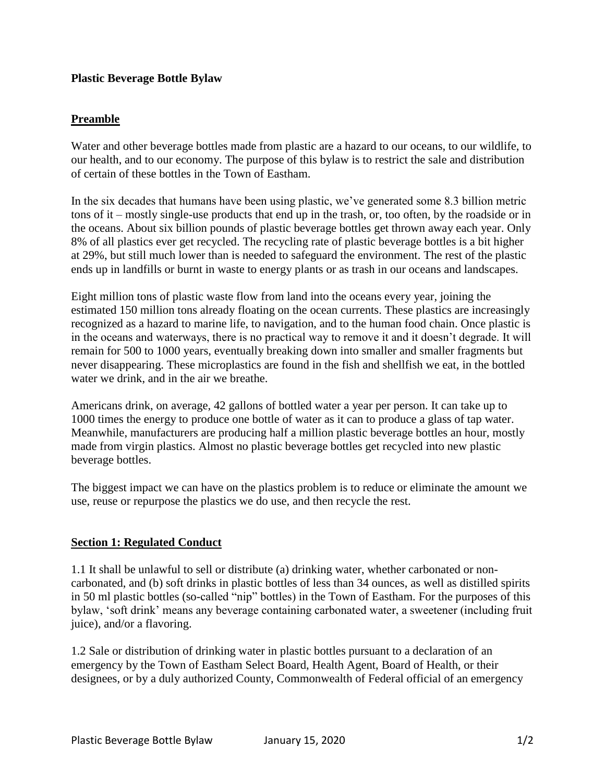## **Plastic Beverage Bottle Bylaw**

# **Preamble**

Water and other beverage bottles made from plastic are a hazard to our oceans, to our wildlife, to our health, and to our economy. The purpose of this bylaw is to restrict the sale and distribution of certain of these bottles in the Town of Eastham.

In the six decades that humans have been using plastic, we've generated some 8.3 billion metric tons of it – mostly single-use products that end up in the trash, or, too often, by the roadside or in the oceans. About six billion pounds of plastic beverage bottles get thrown away each year. Only 8% of all plastics ever get recycled. The recycling rate of plastic beverage bottles is a bit higher at 29%, but still much lower than is needed to safeguard the environment. The rest of the plastic ends up in landfills or burnt in waste to energy plants or as trash in our oceans and landscapes.

Eight million tons of plastic waste flow from land into the oceans every year, joining the estimated 150 million tons already floating on the ocean currents. These plastics are increasingly recognized as a hazard to marine life, to navigation, and to the human food chain. Once plastic is in the oceans and waterways, there is no practical way to remove it and it doesn't degrade. It will remain for 500 to 1000 years, eventually breaking down into smaller and smaller fragments but never disappearing. These microplastics are found in the fish and shellfish we eat, in the bottled water we drink, and in the air we breathe.

Americans drink, on average, 42 gallons of bottled water a year per person. It can take up to 1000 times the energy to produce one bottle of water as it can to produce a glass of tap water. Meanwhile, manufacturers are producing half a million plastic beverage bottles an hour, mostly made from virgin plastics. Almost no plastic beverage bottles get recycled into new plastic beverage bottles.

The biggest impact we can have on the plastics problem is to reduce or eliminate the amount we use, reuse or repurpose the plastics we do use, and then recycle the rest.

### **Section 1: Regulated Conduct**

1.1 It shall be unlawful to sell or distribute (a) drinking water, whether carbonated or noncarbonated, and (b) soft drinks in plastic bottles of less than 34 ounces, as well as distilled spirits in 50 ml plastic bottles (so-called "nip" bottles) in the Town of Eastham. For the purposes of this bylaw, 'soft drink' means any beverage containing carbonated water, a sweetener (including fruit juice), and/or a flavoring.

1.2 Sale or distribution of drinking water in plastic bottles pursuant to a declaration of an emergency by the Town of Eastham Select Board, Health Agent, Board of Health, or their designees, or by a duly authorized County, Commonwealth of Federal official of an emergency